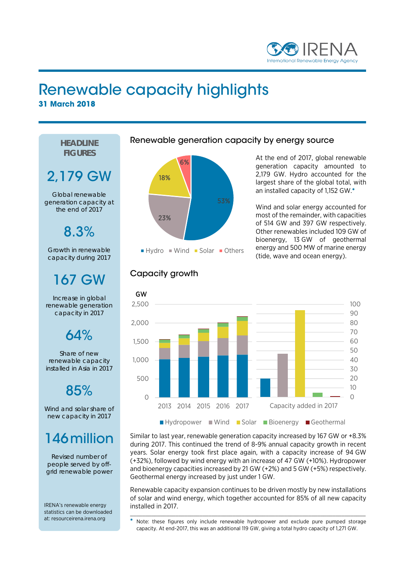

#### Renewable capacity highlights **31 March 2018**

**HEADLINE FIGURES**

# 2,179 GW

Global renewable generation capacity at the end of 2017

8.3%

Growth in renewable capacity during 2017

### 167 GW

Increase in global renewable generation capacity in 2017

#### $64%$

Share of new renewable capacity installed in Asia in 2017

# 85%

Wind and solar share of new capacity in 2017

### 146million

Revised number of people served by offgrid renewable power

IRENA's renewable energy statistics can be downloaded at: resourceirena.irena.org

#### Renewable generation capacity by energy source



At the end of 2017, global renewable generation capacity amounted to 2,179 GW. Hydro accounted for the largest share of the global total, with an installed capacity of 1,152 GW.\*

Wind and solar energy accounted for most of the remainder, with capacities of 514 GW and 397 GW respectively. Other renewables included 109 GW of bioenergy, 13 GW of geothermal energy and 500 MW of marine energy (tide, wave and ocean energy).





Similar to last year, renewable generation capacity increased by 167 GW or +8.3% during 2017. This continued the trend of 8-9% annual capacity growth in recent years. Solar energy took first place again, with a capacity increase of 94 GW (+32%), followed by wind energy with an increase of 47 GW (+10%). Hydropower and bioenergy capacities increased by 21 GW (+2%) and 5 GW (+5%) respectively. Geothermal energy increased by just under 1 GW.

Renewable capacity expansion continues to be driven mostly by new installations of solar and wind energy, which together accounted for 85% of all new capacity installed in 2017.

\_\_\_\_\_\_\_\_\_\_\_\_\_\_\_\_\_\_\_\_\_\_\_\_\_\_\_\_\_\_\_\_\_\_\_\_\_\_\_\_\_\_\_\_\_\_\_\_\_\_\_\_\_\_\_\_\_\_\_\_\_\_\_\_\_\_\_\_\_\_\_\_\_\_\_\_\_\_ Note: these figures only include renewable hydropower and exclude pure pumped storage capacity. At end-2017, this was an additional 119 GW, giving a total hydro capacity of 1,271 GW.